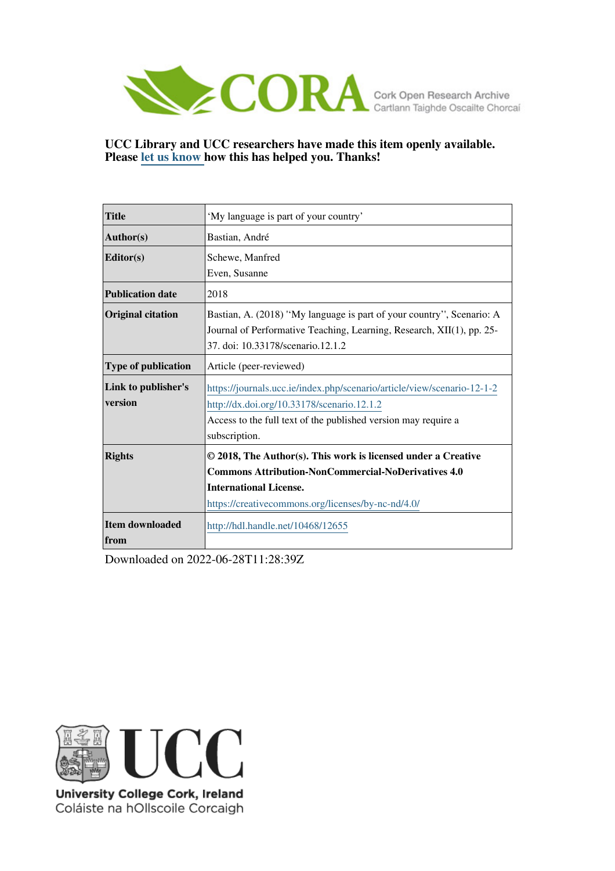

**UCC Library and UCC researchers have made this item openly available. Please [let us know h](https://libguides.ucc.ie/openaccess/impact?suffix=12655&title=�My language is part of your country�)ow this has helped you. Thanks!**

| <b>Title</b>               | 'My language is part of your country'                                   |
|----------------------------|-------------------------------------------------------------------------|
| Author(s)                  | Bastian, André                                                          |
| Editor(s)                  | Schewe, Manfred                                                         |
|                            | Even, Susanne                                                           |
| <b>Publication date</b>    | 2018                                                                    |
| <b>Original citation</b>   | Bastian, A. (2018) "My language is part of your country", Scenario: A   |
|                            | Journal of Performative Teaching, Learning, Research, XII(1), pp. 25-   |
|                            | 37. doi: 10.33178/scenario.12.1.2                                       |
| <b>Type of publication</b> | Article (peer-reviewed)                                                 |
| Link to publisher's        | https://journals.ucc.ie/index.php/scenario/article/view/scenario-12-1-2 |
| version                    | http://dx.doi.org/10.33178/scenario.12.1.2                              |
|                            | Access to the full text of the published version may require a          |
|                            | subscription.                                                           |
| <b>Rights</b>              | © 2018, The Author(s). This work is licensed under a Creative           |
|                            | <b>Commons Attribution-NonCommercial-NoDerivatives 4.0</b>              |
|                            | <b>International License.</b>                                           |
|                            | https://creativecommons.org/licenses/by-nc-nd/4.0/                      |
| <b>Item downloaded</b>     | http://hdl.handle.net/10468/12655                                       |
| from                       |                                                                         |

Downloaded on 2022-06-28T11:28:39Z



University College Cork, Ireland Coláiste na hOllscoile Corcaigh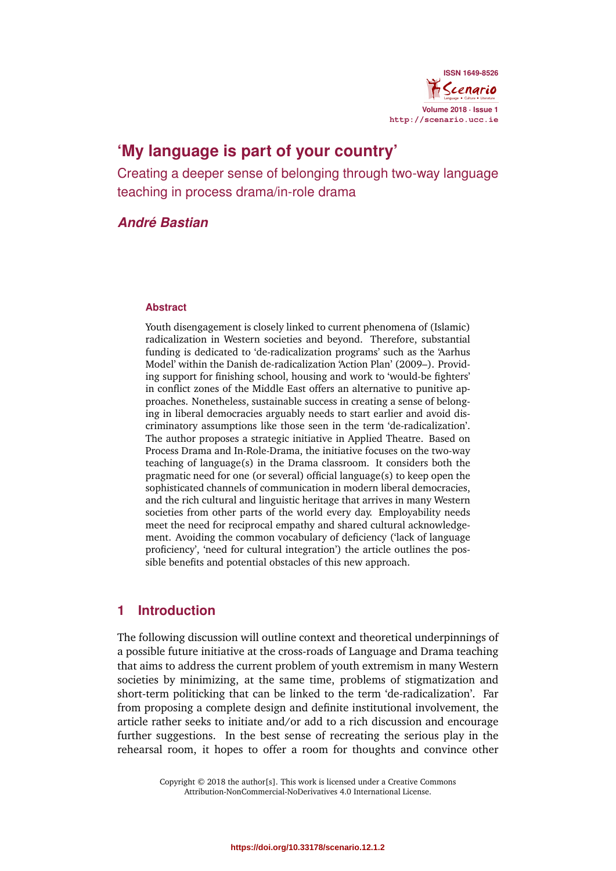

# **'My language is part of your country'**

Creating a deeper sense of belonging through two-way language teaching in process drama/in-role drama

### *André Bastian*

#### **Abstract**

Youth disengagement is closely linked to current phenomena of (Islamic) radicalization in Western societies and beyond. Therefore, substantial funding is dedicated to 'de-radicalization programs' such as the 'Aarhus Model' within the Danish de-radicalization 'Action Plan' (2009–). Providing support for finishing school, housing and work to 'would-be fighters' in conflict zones of the Middle East offers an alternative to punitive approaches. Nonetheless, sustainable success in creating a sense of belonging in liberal democracies arguably needs to start earlier and avoid discriminatory assumptions like those seen in the term 'de-radicalization'. The author proposes a strategic initiative in Applied Theatre. Based on Process Drama and In-Role-Drama, the initiative focuses on the two-way teaching of language(s) in the Drama classroom. It considers both the pragmatic need for one (or several) official language(s) to keep open the sophisticated channels of communication in modern liberal democracies, and the rich cultural and linguistic heritage that arrives in many Western societies from other parts of the world every day. Employability needs meet the need for reciprocal empathy and shared cultural acknowledgement. Avoiding the common vocabulary of deficiency ('lack of language proficiency', 'need for cultural integration') the article outlines the possible benefits and potential obstacles of this new approach.

#### **1 Introduction**

The following discussion will outline context and theoretical underpinnings of a possible future initiative at the cross-roads of Language and Drama teaching that aims to address the current problem of youth extremism in many Western societies by minimizing, at the same time, problems of stigmatization and short-term politicking that can be linked to the term 'de-radicalization'. Far from proposing a complete design and definite institutional involvement, the article rather seeks to initiate and/or add to a rich discussion and encourage further suggestions. In the best sense of recreating the serious play in the rehearsal room, it hopes to offer a room for thoughts and convince other

> Copyright © 2018 the author[s]. This work is licensed under a Creative Commons Attribution-NonCommercial-NoDerivatives 4.0 International License.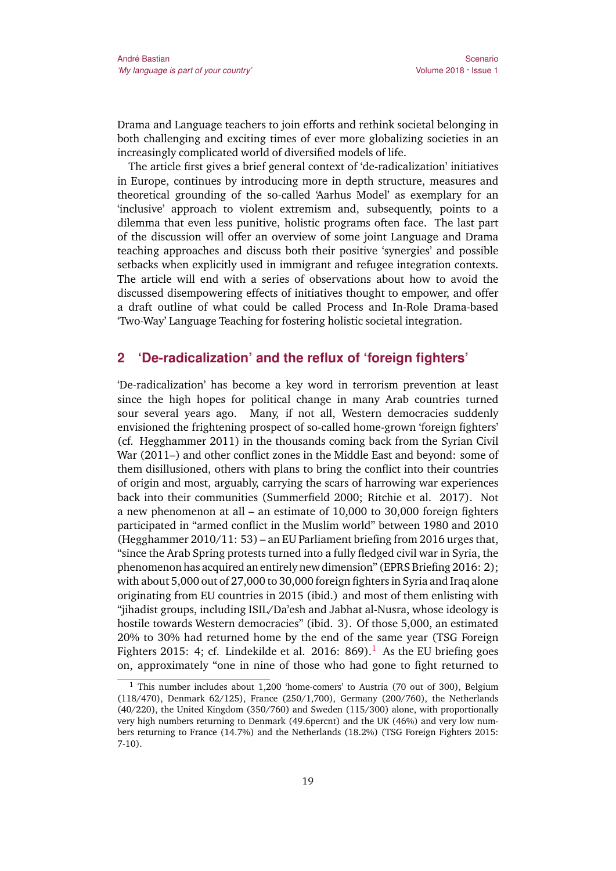Drama and Language teachers to join efforts and rethink societal belonging in both challenging and exciting times of ever more globalizing societies in an increasingly complicated world of diversified models of life.

The article first gives a brief general context of 'de-radicalization' initiatives in Europe, continues by introducing more in depth structure, measures and theoretical grounding of the so-called 'Aarhus Model' as exemplary for an 'inclusive' approach to violent extremism and, subsequently, points to a dilemma that even less punitive, holistic programs often face. The last part of the discussion will offer an overview of some joint Language and Drama teaching approaches and discuss both their positive 'synergies' and possible setbacks when explicitly used in immigrant and refugee integration contexts. The article will end with a series of observations about how to avoid the discussed disempowering effects of initiatives thought to empower, and offer a draft outline of what could be called Process and In-Role Drama-based 'Two-Way' Language Teaching for fostering holistic societal integration.

#### **2 'De-radicalization' and the reflux of 'foreign fighters'**

'De-radicalization' has become a key word in terrorism prevention at least since the high hopes for political change in many Arab countries turned sour several years ago. Many, if not all, Western democracies suddenly envisioned the frightening prospect of so-called home-grown 'foreign fighters' (cf. Hegghammer 2011) in the thousands coming back from the Syrian Civil War (2011–) and other conflict zones in the Middle East and beyond: some of them disillusioned, others with plans to bring the conflict into their countries of origin and most, arguably, carrying the scars of harrowing war experiences back into their communities (Summerfield 2000; Ritchie et al. 2017). Not a new phenomenon at all – an estimate of 10,000 to 30,000 foreign fighters participated in "armed conflict in the Muslim world" between 1980 and 2010 (Hegghammer 2010/11: 53) – an EU Parliament briefing from 2016 urges that, "since the Arab Spring protests turned into a fully fledged civil war in Syria, the phenomenon has acquired an entirely new dimension" (EPRS Briefing 2016: 2); with about 5,000 out of 27,000 to 30,000 foreign fighters in Syria and Iraq alone originating from EU countries in 2015 (ibid.) and most of them enlisting with "jihadist groups, including ISIL/Da'esh and Jabhat al-Nusra, whose ideology is hostile towards Western democracies" (ibid. 3). Of those 5,000, an estimated 20% to 30% had returned home by the end of the same year (TSG Foreign Fighters 2015: 4; cf. Lindekilde et al. 2016: 869).<sup>1</sup> As the EU briefing goes on, approximately "one in nine of those who had gone to fight returned to

<sup>&</sup>lt;sup>1</sup> This number includes about 1,200 'home-comers' to Austria (70 out of 300), Belgium (118/470), Denmark 62/125), France (250/1,700), Germany (200/760), the Netherlands (40/220), the United Kingdom (350/760) and Sweden (115/300) alone, with proportionally very high numbers returning to Denmark (49.6percnt) and the UK (46%) and very low numbers returning to France (14.7%) and the Netherlands (18.2%) (TSG Foreign Fighters 2015: 7-10).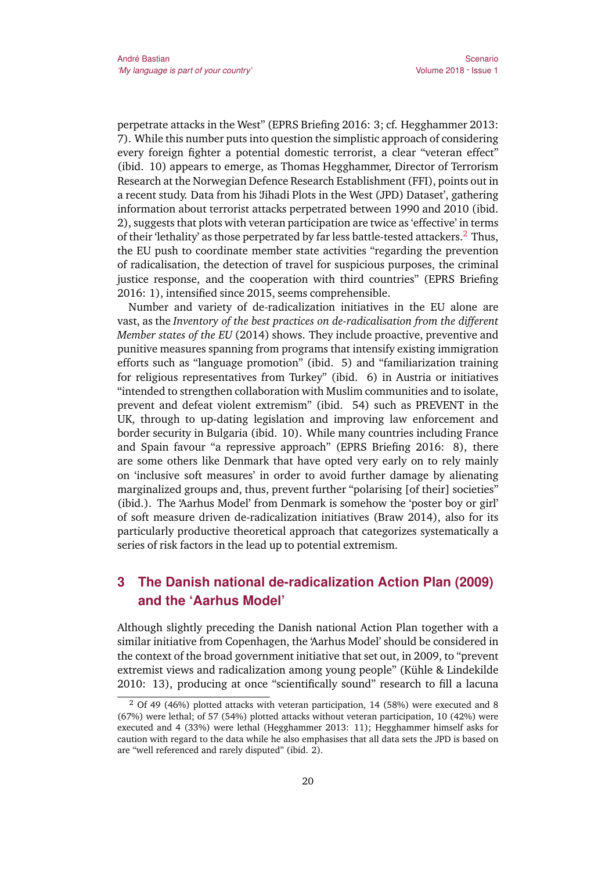perpetrate attacks in the West" (EPRS Briefing 2016: 3; cf. Hegghammer 2013: 7). While this number puts into question the simplistic approach of considering every foreign fighter a potential domestic terrorist, a clear "veteran effect" (ibid. 10) appears to emerge, as Thomas Hegghammer, Director of Terrorism Research at the Norwegian Defence Research Establishment (FFI), points out in a recent study. Data from his 'Jihadi Plots in the West (JPD) Dataset', gathering information about terrorist attacks perpetrated between 1990 and 2010 (ibid. 2), suggests that plots with veteran participation are twice as 'effective' in terms of their 'lethality' as those perpetrated by far less battle-tested attackers.<sup>2</sup> Thus, the EU push to coordinate member state activities "regarding the prevention of radicalisation, the detection of travel for suspicious purposes, the criminal justice response, and the cooperation with third countries" (EPRS Briefing 2016: 1), intensified since 2015, seems comprehensible.

Number and variety of de-radicalization initiatives in the EU alone are vast, as the *Inventory of the best practices on de-radicalisation from the different Member states of the EU* (2014) shows. They include proactive, preventive and punitive measures spanning from programs that intensify existing immigration efforts such as "language promotion" (ibid. 5) and "familiarization training for religious representatives from Turkey" (ibid. 6) in Austria or initiatives "intended to strengthen collaboration with Muslim communities and to isolate, prevent and defeat violent extremism" (ibid. 54) such as PREVENT in the UK, through to up-dating legislation and improving law enforcement and border security in Bulgaria (ibid. 10). While many countries including France and Spain favour "a repressive approach" (EPRS Briefing 2016: 8), there are some others like Denmark that have opted very early on to rely mainly on 'inclusive soft measures' in order to avoid further damage by alienating marginalized groups and, thus, prevent further "polarising [of their] societies" (ibid.). The 'Aarhus Model' from Denmark is somehow the 'poster boy or girl' of soft measure driven de-radicalization initiatives (Braw 2014), also for its particularly productive theoretical approach that categorizes systematically a series of risk factors in the lead up to potential extremism.

## **3 The Danish national de-radicalization Action Plan (2009) and the 'Aarhus Model'**

Although slightly preceding the Danish national Action Plan together with a similar initiative from Copenhagen, the 'Aarhus Model' should be considered in the context of the broad government initiative that set out, in 2009, to "prevent extremist views and radicalization among young people" (Kühle & Lindekilde 2010: 13), producing at once "scientifically sound" research to fill a lacuna

 $2$  Of 49 (46%) plotted attacks with veteran participation, 14 (58%) were executed and 8 (67%) were lethal; of 57 (54%) plotted attacks without veteran participation, 10 (42%) were executed and 4 (33%) were lethal (Hegghammer 2013: 11); Hegghammer himself asks for caution with regard to the data while he also emphasises that all data sets the JPD is based on are "well referenced and rarely disputed" (ibid. 2).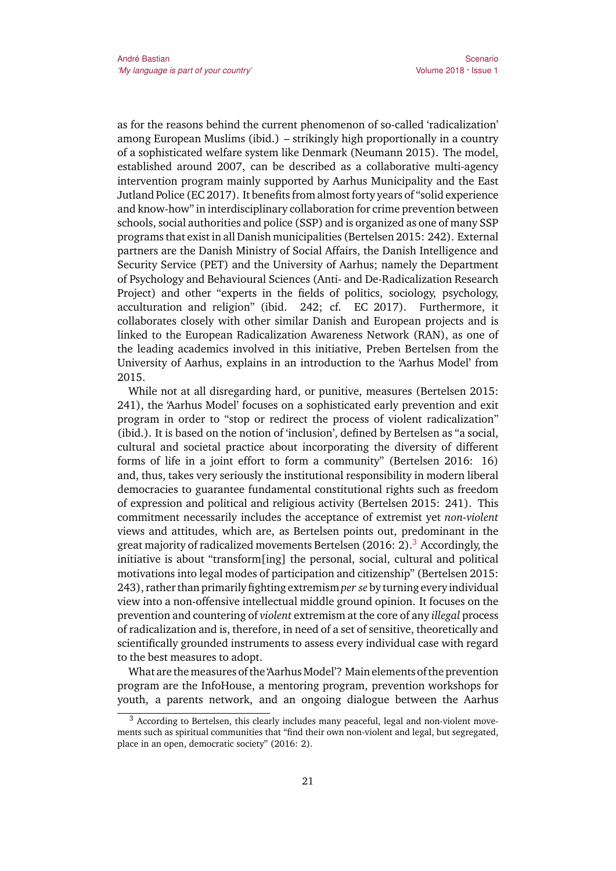as for the reasons behind the current phenomenon of so-called 'radicalization' among European Muslims (ibid.) – strikingly high proportionally in a country of a sophisticated welfare system like Denmark (Neumann 2015). The model, established around 2007, can be described as a collaborative multi-agency intervention program mainly supported by Aarhus Municipality and the East Jutland Police (EC 2017). It benefits from almost forty years of "solid experience and know-how" in interdisciplinary collaboration for crime prevention between schools, social authorities and police (SSP) and is organized as one of many SSP programs that exist in all Danish municipalities (Bertelsen 2015: 242). External partners are the Danish Ministry of Social Affairs, the Danish Intelligence and Security Service (PET) and the University of Aarhus; namely the Department of Psychology and Behavioural Sciences (Anti- and De-Radicalization Research Project) and other "experts in the fields of politics, sociology, psychology, acculturation and religion" (ibid. 242; cf. EC 2017). Furthermore, it collaborates closely with other similar Danish and European projects and is linked to the European Radicalization Awareness Network (RAN), as one of the leading academics involved in this initiative, Preben Bertelsen from the University of Aarhus, explains in an introduction to the 'Aarhus Model' from 2015.

While not at all disregarding hard, or punitive, measures (Bertelsen 2015: 241), the 'Aarhus Model' focuses on a sophisticated early prevention and exit program in order to "stop or redirect the process of violent radicalization" (ibid.). It is based on the notion of 'inclusion', defined by Bertelsen as "a social, cultural and societal practice about incorporating the diversity of different forms of life in a joint effort to form a community" (Bertelsen 2016: 16) and, thus, takes very seriously the institutional responsibility in modern liberal democracies to guarantee fundamental constitutional rights such as freedom of expression and political and religious activity (Bertelsen 2015: 241). This commitment necessarily includes the acceptance of extremist yet *non-violent* views and attitudes, which are, as Bertelsen points out, predominant in the great majority of radicalized movements Bertelsen  $(2016: 2)$ .<sup>3</sup> Accordingly, the initiative is about "transform[ing] the personal, social, cultural and political motivations into legal modes of participation and citizenship" (Bertelsen 2015: 243), rather than primarily fighting extremism *per se* by turning every individual view into a non-offensive intellectual middle ground opinion. It focuses on the prevention and countering of *violent* extremism at the core of any *illegal* process of radicalization and is, therefore, in need of a set of sensitive, theoretically and scientifically grounded instruments to assess every individual case with regard to the best measures to adopt.

What are the measures of the 'Aarhus Model'? Main elements of the prevention program are the InfoHouse, a mentoring program, prevention workshops for youth, a parents network, and an ongoing dialogue between the Aarhus

 $3$  According to Bertelsen, this clearly includes many peaceful, legal and non-violent movements such as spiritual communities that "find their own non-violent and legal, but segregated, place in an open, democratic society" (2016: 2).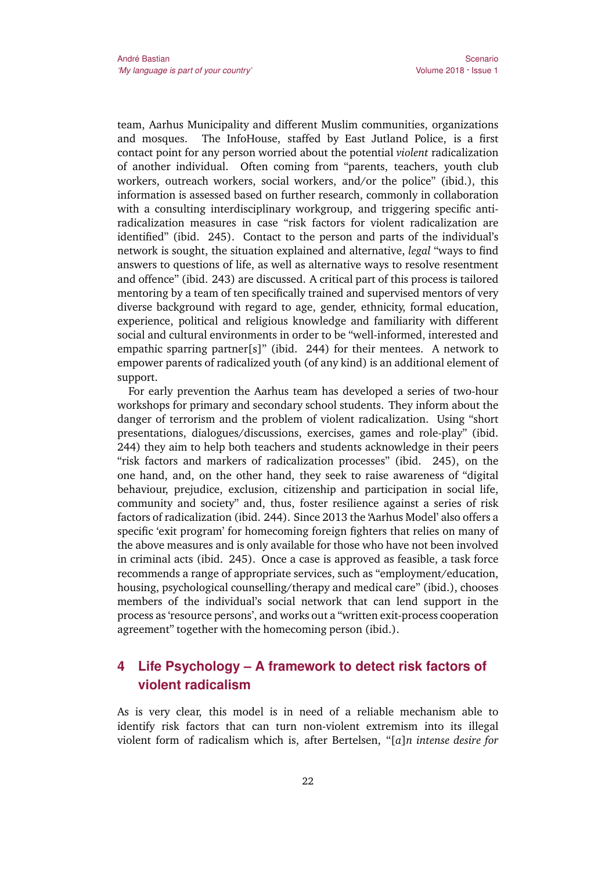team, Aarhus Municipality and different Muslim communities, organizations and mosques. The InfoHouse, staffed by East Jutland Police, is a first contact point for any person worried about the potential *violent* radicalization of another individual. Often coming from "parents, teachers, youth club workers, outreach workers, social workers, and/or the police" (ibid.), this information is assessed based on further research, commonly in collaboration with a consulting interdisciplinary workgroup, and triggering specific antiradicalization measures in case "risk factors for violent radicalization are identified" (ibid. 245). Contact to the person and parts of the individual's network is sought, the situation explained and alternative, *legal* "ways to find answers to questions of life, as well as alternative ways to resolve resentment and offence" (ibid. 243) are discussed. A critical part of this process is tailored mentoring by a team of ten specifically trained and supervised mentors of very diverse background with regard to age, gender, ethnicity, formal education, experience, political and religious knowledge and familiarity with different social and cultural environments in order to be "well-informed, interested and empathic sparring partner[s]" (ibid. 244) for their mentees. A network to empower parents of radicalized youth (of any kind) is an additional element of support.

For early prevention the Aarhus team has developed a series of two-hour workshops for primary and secondary school students. They inform about the danger of terrorism and the problem of violent radicalization. Using "short presentations, dialogues/discussions, exercises, games and role-play" (ibid. 244) they aim to help both teachers and students acknowledge in their peers "risk factors and markers of radicalization processes" (ibid. 245), on the one hand, and, on the other hand, they seek to raise awareness of "digital behaviour, prejudice, exclusion, citizenship and participation in social life, community and society" and, thus, foster resilience against a series of risk factors of radicalization (ibid. 244). Since 2013 the 'Aarhus Model' also offers a specific 'exit program' for homecoming foreign fighters that relies on many of the above measures and is only available for those who have not been involved in criminal acts (ibid. 245). Once a case is approved as feasible, a task force recommends a range of appropriate services, such as "employment/education, housing, psychological counselling/therapy and medical care" (ibid.), chooses members of the individual's social network that can lend support in the process as 'resource persons', and works out a "written exit-process cooperation agreement" together with the homecoming person (ibid.).

### **4 Life Psychology – A framework to detect risk factors of violent radicalism**

As is very clear, this model is in need of a reliable mechanism able to identify risk factors that can turn non-violent extremism into its illegal violent form of radicalism which is, after Bertelsen, "[*a*]*n intense desire for*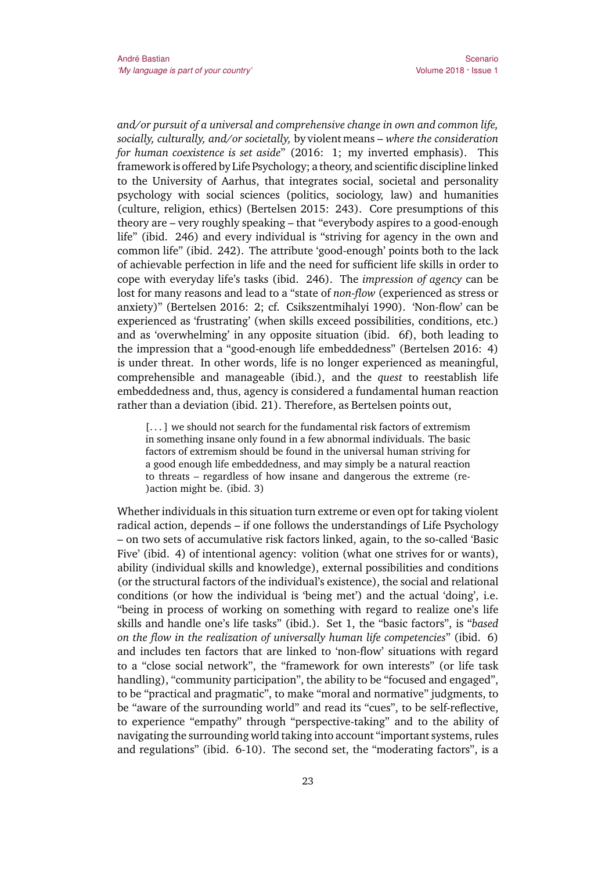*and/or pursuit of a universal and comprehensive change in own and common life, socially, culturally, and/or societally,* by violent means *– where the consideration for human coexistence is set aside*" (2016: 1; my inverted emphasis). This framework is offered by Life Psychology; a theory, and scientific discipline linked to the University of Aarhus, that integrates social, societal and personality psychology with social sciences (politics, sociology, law) and humanities (culture, religion, ethics) (Bertelsen 2015: 243). Core presumptions of this theory are – very roughly speaking – that "everybody aspires to a good-enough life" (ibid. 246) and every individual is "striving for agency in the own and common life" (ibid. 242). The attribute 'good-enough' points both to the lack of achievable perfection in life and the need for sufficient life skills in order to cope with everyday life's tasks (ibid. 246). The *impression of agency* can be lost for many reasons and lead to a "state of *non-flow* (experienced as stress or anxiety)" (Bertelsen 2016: 2; cf. Csikszentmihalyi 1990). 'Non-flow' can be experienced as 'frustrating' (when skills exceed possibilities, conditions, etc.) and as 'overwhelming' in any opposite situation (ibid. 6f), both leading to the impression that a "good-enough life embeddedness" (Bertelsen 2016: 4) is under threat. In other words, life is no longer experienced as meaningful, comprehensible and manageable (ibid.), and the *quest* to reestablish life embeddedness and, thus, agency is considered a fundamental human reaction rather than a deviation (ibid. 21). Therefore, as Bertelsen points out,

[...] we should not search for the fundamental risk factors of extremism in something insane only found in a few abnormal individuals. The basic factors of extremism should be found in the universal human striving for a good enough life embeddedness, and may simply be a natural reaction to threats – regardless of how insane and dangerous the extreme (re- )action might be. (ibid. 3)

Whether individuals in this situation turn extreme or even opt for taking violent radical action, depends – if one follows the understandings of Life Psychology – on two sets of accumulative risk factors linked, again, to the so-called 'Basic Five' (ibid. 4) of intentional agency: volition (what one strives for or wants), ability (individual skills and knowledge), external possibilities and conditions (or the structural factors of the individual's existence), the social and relational conditions (or how the individual is 'being met') and the actual 'doing', i.e. "being in process of working on something with regard to realize one's life skills and handle one's life tasks" (ibid.). Set 1, the "basic factors", is "*based on the flow in the realization of universally human life competencies*" (ibid. 6) and includes ten factors that are linked to 'non-flow' situations with regard to a "close social network", the "framework for own interests" (or life task handling), "community participation", the ability to be "focused and engaged", to be "practical and pragmatic", to make "moral and normative" judgments, to be "aware of the surrounding world" and read its "cues", to be self-reflective, to experience "empathy" through "perspective-taking" and to the ability of navigating the surrounding world taking into account "important systems, rules and regulations" (ibid. 6-10). The second set, the "moderating factors", is a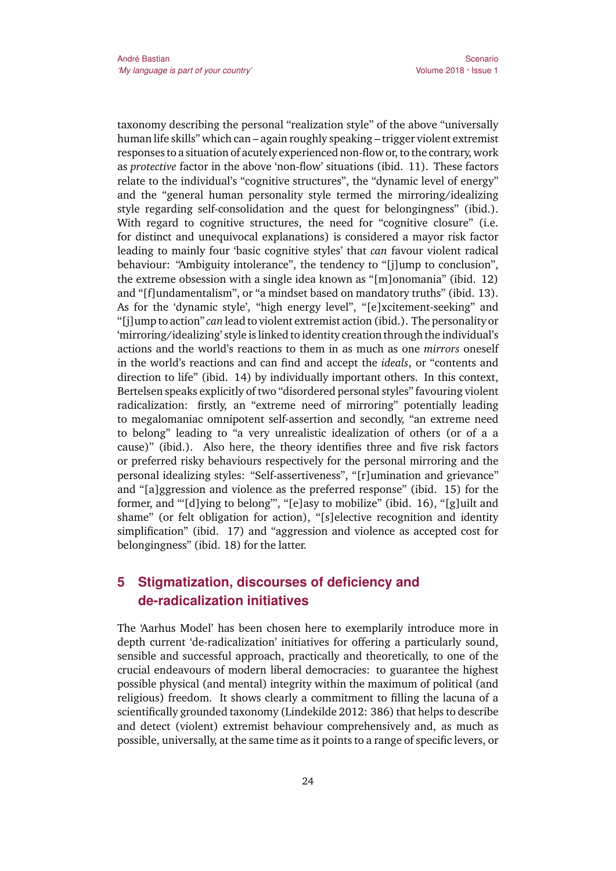taxonomy describing the personal "realization style" of the above "universally human life skills" which can – again roughly speaking – trigger violent extremist responses to a situation of acutely experienced non-flow or, to the contrary, work as *protective* factor in the above 'non-flow' situations (ibid. 11). These factors relate to the individual's "cognitive structures", the "dynamic level of energy" and the "general human personality style termed the mirroring/idealizing style regarding self-consolidation and the quest for belongingness" (ibid.). With regard to cognitive structures, the need for "cognitive closure" (i.e. for distinct and unequivocal explanations) is considered a mayor risk factor leading to mainly four 'basic cognitive styles' that *can* favour violent radical behaviour: "Ambiguity intolerance", the tendency to "[j]ump to conclusion", the extreme obsession with a single idea known as "[m]onomania" (ibid. 12) and "[f]undamentalism", or "a mindset based on mandatory truths" (ibid. 13). As for the 'dynamic style', "high energy level", "[e]xcitement-seeking" and "[j]ump to action" *can* lead to violent extremist action (ibid.). The personality or 'mirroring/idealizing' style is linked to identity creation through the individual's actions and the world's reactions to them in as much as one *mirrors* oneself in the world's reactions and can find and accept the *ideals*, or "contents and direction to life" (ibid. 14) by individually important others. In this context, Bertelsen speaks explicitly of two "disordered personal styles" favouring violent radicalization: firstly, an "extreme need of mirroring" potentially leading to megalomaniac omnipotent self-assertion and secondly, "an extreme need to belong" leading to "a very unrealistic idealization of others (or of a a cause)" (ibid.). Also here, the theory identifies three and five risk factors or preferred risky behaviours respectively for the personal mirroring and the personal idealizing styles: "Self-assertiveness", "[r]umination and grievance" and "[a]ggression and violence as the preferred response" (ibid. 15) for the former, and "'[d]ying to belong'", "[e]asy to mobilize" (ibid. 16), "[g]uilt and shame" (or felt obligation for action), "[s]elective recognition and identity simplification" (ibid. 17) and "aggression and violence as accepted cost for belongingness" (ibid. 18) for the latter.

### **5 Stigmatization, discourses of deficiency and de-radicalization initiatives**

The 'Aarhus Model' has been chosen here to exemplarily introduce more in depth current 'de-radicalization' initiatives for offering a particularly sound, sensible and successful approach, practically and theoretically, to one of the crucial endeavours of modern liberal democracies: to guarantee the highest possible physical (and mental) integrity within the maximum of political (and religious) freedom. It shows clearly a commitment to filling the lacuna of a scientifically grounded taxonomy (Lindekilde 2012: 386) that helps to describe and detect (violent) extremist behaviour comprehensively and, as much as possible, universally, at the same time as it points to a range of specific levers, or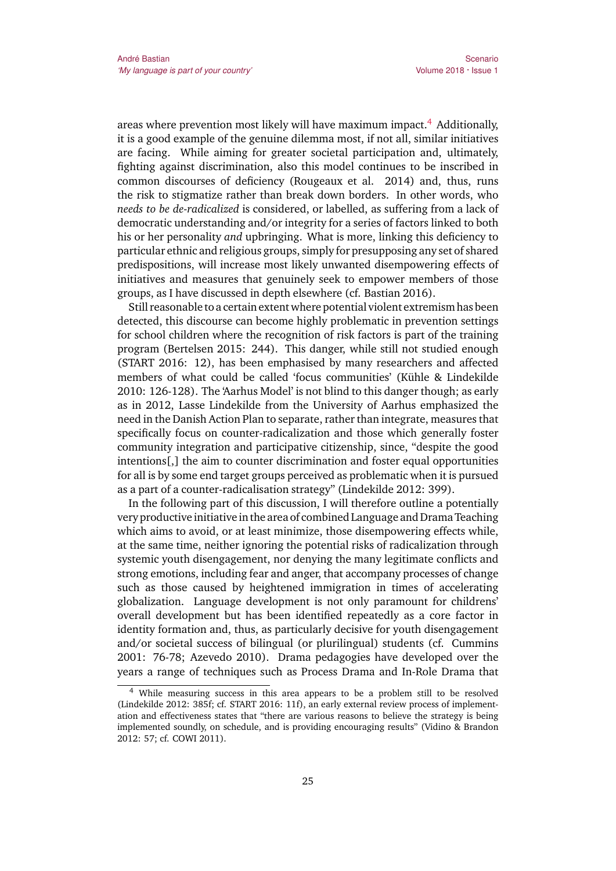areas where prevention most likely will have maximum impact.<sup>4</sup> Additionally, it is a good example of the genuine dilemma most, if not all, similar initiatives are facing. While aiming for greater societal participation and, ultimately, fighting against discrimination, also this model continues to be inscribed in common discourses of deficiency (Rougeaux et al. 2014) and, thus, runs the risk to stigmatize rather than break down borders. In other words, who *needs to be de-radicalized* is considered, or labelled, as suffering from a lack of democratic understanding and/or integrity for a series of factors linked to both his or her personality *and* upbringing. What is more, linking this deficiency to particular ethnic and religious groups, simply for presupposing any set of shared predispositions, will increase most likely unwanted disempowering effects of initiatives and measures that genuinely seek to empower members of those groups, as I have discussed in depth elsewhere (cf. Bastian 2016).

Still reasonable to a certain extent where potential violent extremism has been detected, this discourse can become highly problematic in prevention settings for school children where the recognition of risk factors is part of the training program (Bertelsen 2015: 244). This danger, while still not studied enough (START 2016: 12), has been emphasised by many researchers and affected members of what could be called 'focus communities' (Kühle & Lindekilde 2010: 126-128). The 'Aarhus Model' is not blind to this danger though; as early as in 2012, Lasse Lindekilde from the University of Aarhus emphasized the need in the Danish Action Plan to separate, rather than integrate, measures that specifically focus on counter-radicalization and those which generally foster community integration and participative citizenship, since, "despite the good intentions[,] the aim to counter discrimination and foster equal opportunities for all is by some end target groups perceived as problematic when it is pursued as a part of a counter-radicalisation strategy" (Lindekilde 2012: 399).

In the following part of this discussion, I will therefore outline a potentially very productive initiative in the area of combined Language and Drama Teaching which aims to avoid, or at least minimize, those disempowering effects while, at the same time, neither ignoring the potential risks of radicalization through systemic youth disengagement, nor denying the many legitimate conflicts and strong emotions, including fear and anger, that accompany processes of change such as those caused by heightened immigration in times of accelerating globalization. Language development is not only paramount for childrens' overall development but has been identified repeatedly as a core factor in identity formation and, thus, as particularly decisive for youth disengagement and/or societal success of bilingual (or plurilingual) students (cf. Cummins 2001: 76-78; Azevedo 2010). Drama pedagogies have developed over the years a range of techniques such as Process Drama and In-Role Drama that

<sup>4</sup> While measuring success in this area appears to be a problem still to be resolved (Lindekilde 2012: 385f; cf. START 2016: 11f), an early external review process of implementation and effectiveness states that "there are various reasons to believe the strategy is being implemented soundly, on schedule, and is providing encouraging results" (Vidino & Brandon 2012: 57; cf. COWI 2011).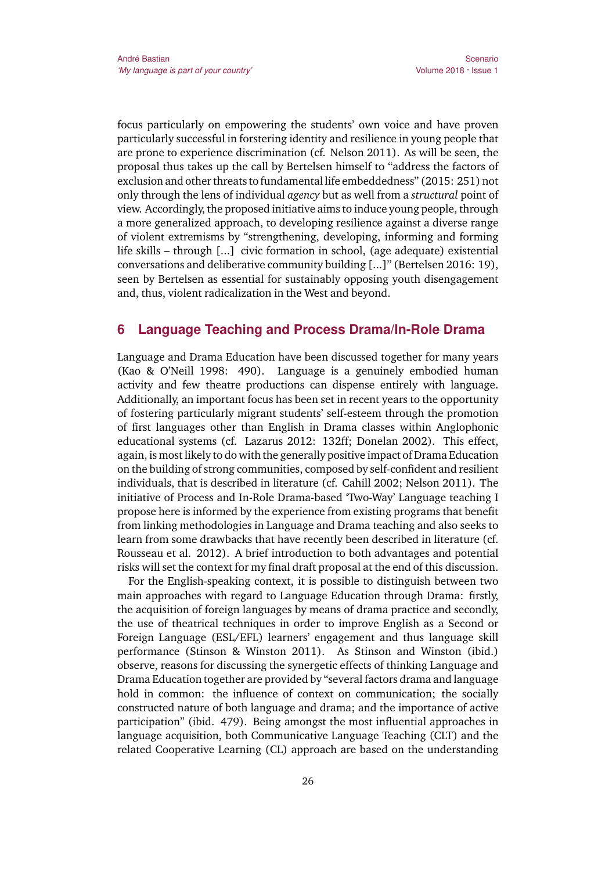focus particularly on empowering the students' own voice and have proven particularly successful in forstering identity and resilience in young people that are prone to experience discrimination (cf. Nelson 2011). As will be seen, the proposal thus takes up the call by Bertelsen himself to "address the factors of exclusion and other threats to fundamental life embeddedness" (2015: 251) not only through the lens of individual *agency* but as well from a *structural* point of view. Accordingly, the proposed initiative aims to induce young people, through a more generalized approach, to developing resilience against a diverse range of violent extremisms by "strengthening, developing, informing and forming life skills – through [...] civic formation in school, (age adequate) existential conversations and deliberative community building [...]" (Bertelsen 2016: 19), seen by Bertelsen as essential for sustainably opposing youth disengagement and, thus, violent radicalization in the West and beyond.

#### **6 Language Teaching and Process Drama/In-Role Drama**

Language and Drama Education have been discussed together for many years (Kao & O'Neill 1998: 490). Language is a genuinely embodied human activity and few theatre productions can dispense entirely with language. Additionally, an important focus has been set in recent years to the opportunity of fostering particularly migrant students' self-esteem through the promotion of first languages other than English in Drama classes within Anglophonic educational systems (cf. Lazarus 2012: 132ff; Donelan 2002). This effect, again, is most likely to do with the generally positive impact of Drama Education on the building of strong communities, composed by self-confident and resilient individuals, that is described in literature (cf. Cahill 2002; Nelson 2011). The initiative of Process and In-Role Drama-based 'Two-Way' Language teaching I propose here is informed by the experience from existing programs that benefit from linking methodologies in Language and Drama teaching and also seeks to learn from some drawbacks that have recently been described in literature (cf. Rousseau et al. 2012). A brief introduction to both advantages and potential risks will set the context for my final draft proposal at the end of this discussion.

For the English-speaking context, it is possible to distinguish between two main approaches with regard to Language Education through Drama: firstly, the acquisition of foreign languages by means of drama practice and secondly, the use of theatrical techniques in order to improve English as a Second or Foreign Language (ESL/EFL) learners' engagement and thus language skill performance (Stinson & Winston 2011). As Stinson and Winston (ibid.) observe, reasons for discussing the synergetic effects of thinking Language and Drama Education together are provided by "several factors drama and language hold in common: the influence of context on communication; the socially constructed nature of both language and drama; and the importance of active participation" (ibid. 479). Being amongst the most influential approaches in language acquisition, both Communicative Language Teaching (CLT) and the related Cooperative Learning (CL) approach are based on the understanding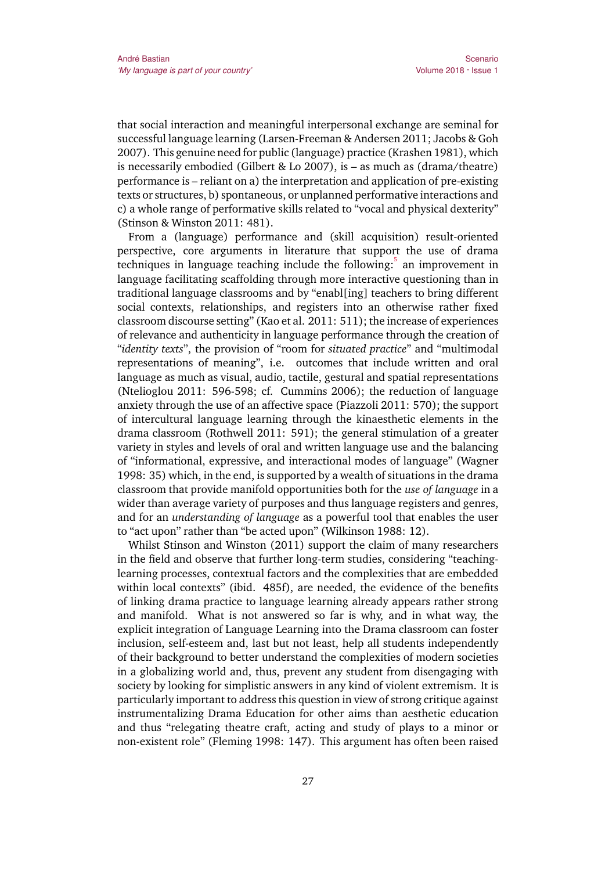that social interaction and meaningful interpersonal exchange are seminal for successful language learning (Larsen-Freeman & Andersen 2011; Jacobs & Goh 2007). This genuine need for public (language) practice (Krashen 1981), which is necessarily embodied (Gilbert & Lo 2007), is – as much as (drama/theatre) performance is – reliant on a) the interpretation and application of pre-existing texts or structures, b) spontaneous, or unplanned performative interactions and c) a whole range of performative skills related to "vocal and physical dexterity" (Stinson & Winston 2011: 481).

From a (language) performance and (skill acquisition) result-oriented perspective, core arguments in literature that support the use of drama techniques in language teaching include the following:<sup>5</sup> an improvement in language facilitating scaffolding through more interactive questioning than in traditional language classrooms and by "enabl[ing] teachers to bring different social contexts, relationships, and registers into an otherwise rather fixed classroom discourse setting" (Kao et al. 2011: 511); the increase of experiences of relevance and authenticity in language performance through the creation of "*identity texts*", the provision of "room for *situated practice*" and "multimodal representations of meaning", i.e. outcomes that include written and oral language as much as visual, audio, tactile, gestural and spatial representations (Ntelioglou 2011: 596-598; cf. Cummins 2006); the reduction of language anxiety through the use of an affective space (Piazzoli 2011: 570); the support of intercultural language learning through the kinaesthetic elements in the drama classroom (Rothwell 2011: 591); the general stimulation of a greater variety in styles and levels of oral and written language use and the balancing of "informational, expressive, and interactional modes of language" (Wagner 1998: 35) which, in the end, is supported by a wealth of situations in the drama classroom that provide manifold opportunities both for the *use of language* in a wider than average variety of purposes and thus language registers and genres, and for an *understanding of language* as a powerful tool that enables the user to "act upon" rather than "be acted upon" (Wilkinson 1988: 12).

Whilst Stinson and Winston (2011) support the claim of many researchers in the field and observe that further long-term studies, considering "teachinglearning processes, contextual factors and the complexities that are embedded within local contexts" (ibid. 485f), are needed, the evidence of the benefits of linking drama practice to language learning already appears rather strong and manifold. What is not answered so far is why, and in what way, the explicit integration of Language Learning into the Drama classroom can foster inclusion, self-esteem and, last but not least, help all students independently of their background to better understand the complexities of modern societies in a globalizing world and, thus, prevent any student from disengaging with society by looking for simplistic answers in any kind of violent extremism. It is particularly important to address this question in view of strong critique against instrumentalizing Drama Education for other aims than aesthetic education and thus "relegating theatre craft, acting and study of plays to a minor or non-existent role" (Fleming 1998: 147). This argument has often been raised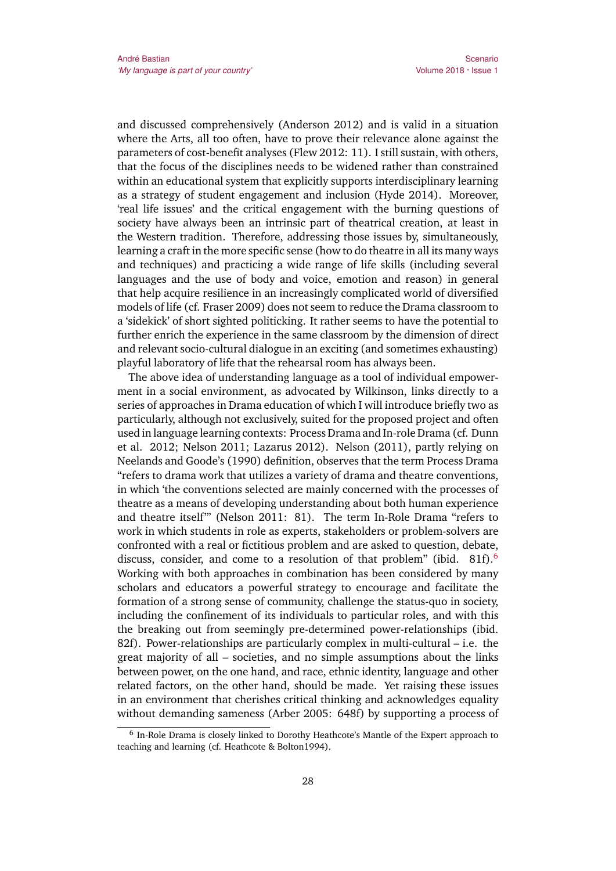and discussed comprehensively (Anderson 2012) and is valid in a situation where the Arts, all too often, have to prove their relevance alone against the parameters of cost-benefit analyses (Flew 2012: 11). I still sustain, with others, that the focus of the disciplines needs to be widened rather than constrained within an educational system that explicitly supports interdisciplinary learning as a strategy of student engagement and inclusion (Hyde 2014). Moreover, 'real life issues' and the critical engagement with the burning questions of society have always been an intrinsic part of theatrical creation, at least in the Western tradition. Therefore, addressing those issues by, simultaneously, learning a craft in the more specific sense (how to do theatre in all its many ways and techniques) and practicing a wide range of life skills (including several languages and the use of body and voice, emotion and reason) in general that help acquire resilience in an increasingly complicated world of diversified models of life (cf. Fraser 2009) does not seem to reduce the Drama classroom to a 'sidekick' of short sighted politicking. It rather seems to have the potential to further enrich the experience in the same classroom by the dimension of direct and relevant socio-cultural dialogue in an exciting (and sometimes exhausting) playful laboratory of life that the rehearsal room has always been.

The above idea of understanding language as a tool of individual empowerment in a social environment, as advocated by Wilkinson, links directly to a series of approaches in Drama education of which I will introduce briefly two as particularly, although not exclusively, suited for the proposed project and often used in language learning contexts: Process Drama and In-role Drama (cf. Dunn et al. 2012; Nelson 2011; Lazarus 2012). Nelson (2011), partly relying on Neelands and Goode's (1990) definition, observes that the term Process Drama "refers to drama work that utilizes a variety of drama and theatre conventions, in which 'the conventions selected are mainly concerned with the processes of theatre as a means of developing understanding about both human experience and theatre itself'" (Nelson 2011: 81). The term In-Role Drama "refers to work in which students in role as experts, stakeholders or problem-solvers are confronted with a real or fictitious problem and are asked to question, debate, discuss, consider, and come to a resolution of that problem" (ibid. 81f).<sup>6</sup> Working with both approaches in combination has been considered by many scholars and educators a powerful strategy to encourage and facilitate the formation of a strong sense of community, challenge the status-quo in society, including the confinement of its individuals to particular roles, and with this the breaking out from seemingly pre-determined power-relationships (ibid. 82f). Power-relationships are particularly complex in multi-cultural – i.e. the great majority of all – societies, and no simple assumptions about the links between power, on the one hand, and race, ethnic identity, language and other related factors, on the other hand, should be made. Yet raising these issues in an environment that cherishes critical thinking and acknowledges equality without demanding sameness (Arber 2005: 648f) by supporting a process of

<sup>&</sup>lt;sup>6</sup> In-Role Drama is closely linked to Dorothy Heathcote's Mantle of the Expert approach to teaching and learning (cf. Heathcote & Bolton1994).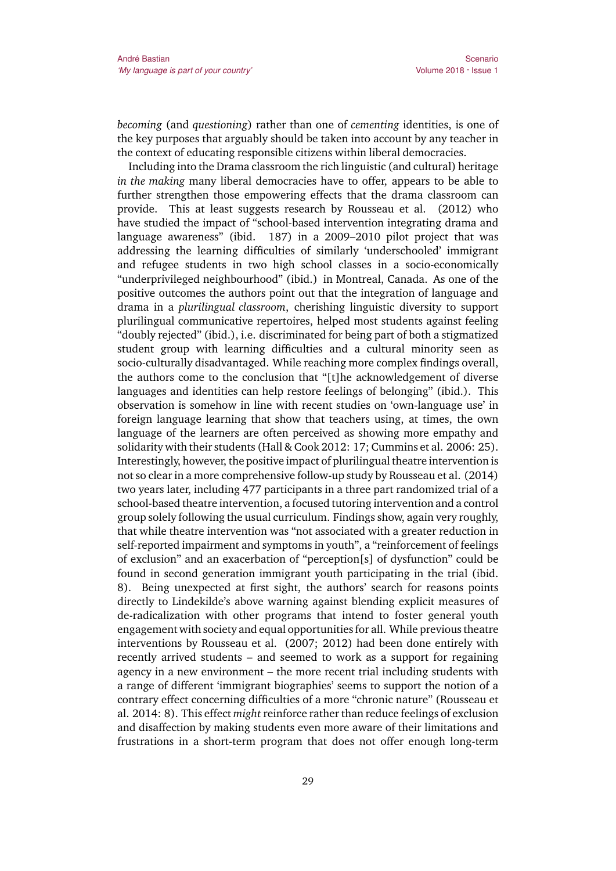*becoming* (and *questioning*) rather than one of *cementing* identities, is one of the key purposes that arguably should be taken into account by any teacher in the context of educating responsible citizens within liberal democracies.

Including into the Drama classroom the rich linguistic (and cultural) heritage *in the making* many liberal democracies have to offer, appears to be able to further strengthen those empowering effects that the drama classroom can provide. This at least suggests research by Rousseau et al. (2012) who have studied the impact of "school-based intervention integrating drama and language awareness" (ibid. 187) in a 2009–2010 pilot project that was addressing the learning difficulties of similarly 'underschooled' immigrant and refugee students in two high school classes in a socio-economically "underprivileged neighbourhood" (ibid.) in Montreal, Canada. As one of the positive outcomes the authors point out that the integration of language and drama in a *plurilingual classroom*, cherishing linguistic diversity to support plurilingual communicative repertoires, helped most students against feeling "doubly rejected" (ibid.), i.e. discriminated for being part of both a stigmatized student group with learning difficulties and a cultural minority seen as socio-culturally disadvantaged. While reaching more complex findings overall, the authors come to the conclusion that "[t]he acknowledgement of diverse languages and identities can help restore feelings of belonging" (ibid.). This observation is somehow in line with recent studies on 'own-language use' in foreign language learning that show that teachers using, at times, the own language of the learners are often perceived as showing more empathy and solidarity with their students (Hall & Cook 2012: 17; Cummins et al. 2006: 25). Interestingly, however, the positive impact of plurilingual theatre intervention is not so clear in a more comprehensive follow-up study by Rousseau et al. (2014) two years later, including 477 participants in a three part randomized trial of a school-based theatre intervention, a focused tutoring intervention and a control group solely following the usual curriculum. Findings show, again very roughly, that while theatre intervention was "not associated with a greater reduction in self-reported impairment and symptoms in youth", a "reinforcement of feelings of exclusion" and an exacerbation of "perception[s] of dysfunction" could be found in second generation immigrant youth participating in the trial (ibid. 8). Being unexpected at first sight, the authors' search for reasons points directly to Lindekilde's above warning against blending explicit measures of de-radicalization with other programs that intend to foster general youth engagement with society and equal opportunities for all. While previous theatre interventions by Rousseau et al. (2007; 2012) had been done entirely with recently arrived students – and seemed to work as a support for regaining agency in a new environment – the more recent trial including students with a range of different 'immigrant biographies' seems to support the notion of a contrary effect concerning difficulties of a more "chronic nature" (Rousseau et al. 2014: 8). This effect *might*reinforce rather than reduce feelings of exclusion and disaffection by making students even more aware of their limitations and frustrations in a short-term program that does not offer enough long-term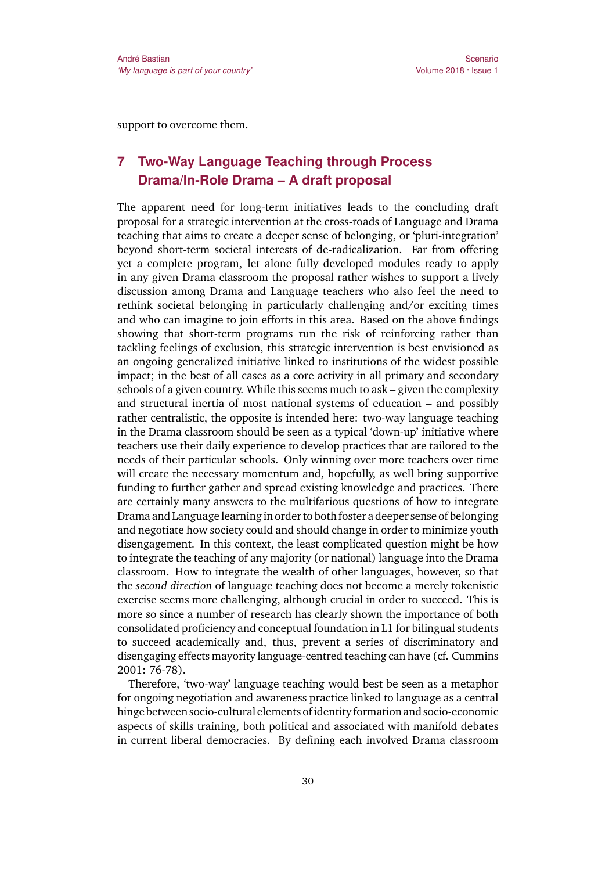support to overcome them.

## **7 Two-Way Language Teaching through Process Drama/In-Role Drama – A draft proposal**

The apparent need for long-term initiatives leads to the concluding draft proposal for a strategic intervention at the cross-roads of Language and Drama teaching that aims to create a deeper sense of belonging, or 'pluri-integration' beyond short-term societal interests of de-radicalization. Far from offering yet a complete program, let alone fully developed modules ready to apply in any given Drama classroom the proposal rather wishes to support a lively discussion among Drama and Language teachers who also feel the need to rethink societal belonging in particularly challenging and/or exciting times and who can imagine to join efforts in this area. Based on the above findings showing that short-term programs run the risk of reinforcing rather than tackling feelings of exclusion, this strategic intervention is best envisioned as an ongoing generalized initiative linked to institutions of the widest possible impact; in the best of all cases as a core activity in all primary and secondary schools of a given country. While this seems much to ask – given the complexity and structural inertia of most national systems of education – and possibly rather centralistic, the opposite is intended here: two-way language teaching in the Drama classroom should be seen as a typical 'down-up' initiative where teachers use their daily experience to develop practices that are tailored to the needs of their particular schools. Only winning over more teachers over time will create the necessary momentum and, hopefully, as well bring supportive funding to further gather and spread existing knowledge and practices. There are certainly many answers to the multifarious questions of how to integrate Drama and Language learning in order to both foster a deeper sense of belonging and negotiate how society could and should change in order to minimize youth disengagement. In this context, the least complicated question might be how to integrate the teaching of any majority (or national) language into the Drama classroom. How to integrate the wealth of other languages, however, so that the *second direction* of language teaching does not become a merely tokenistic exercise seems more challenging, although crucial in order to succeed. This is more so since a number of research has clearly shown the importance of both consolidated proficiency and conceptual foundation in L1 for bilingual students to succeed academically and, thus, prevent a series of discriminatory and disengaging effects mayority language-centred teaching can have (cf. Cummins 2001: 76-78).

Therefore, 'two-way' language teaching would best be seen as a metaphor for ongoing negotiation and awareness practice linked to language as a central hinge between socio-cultural elements ofidentity formation and socio-economic aspects of skills training, both political and associated with manifold debates in current liberal democracies. By defining each involved Drama classroom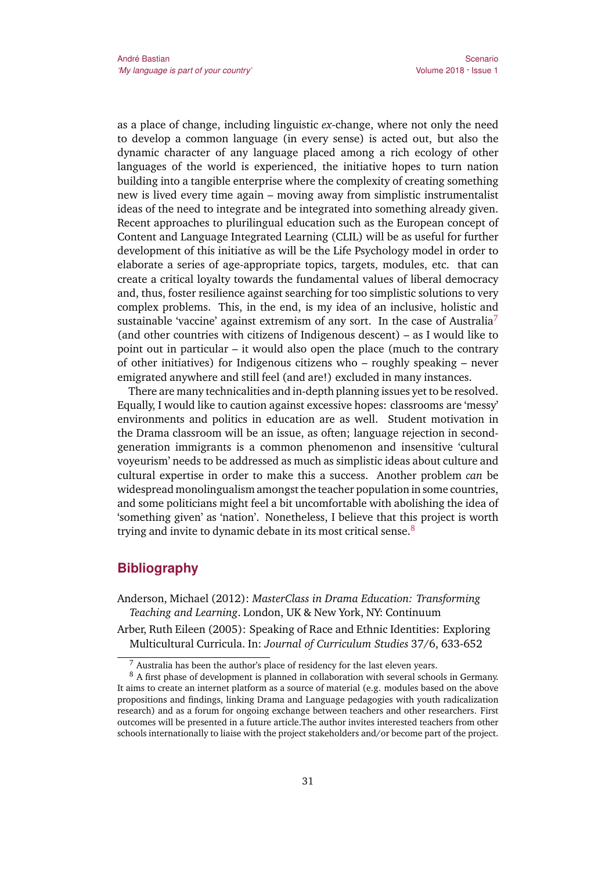as a place of change, including linguistic *ex*-change, where not only the need to develop a common language (in every sense) is acted out, but also the dynamic character of any language placed among a rich ecology of other languages of the world is experienced, the initiative hopes to turn nation building into a tangible enterprise where the complexity of creating something new is lived every time again – moving away from simplistic instrumentalist ideas of the need to integrate and be integrated into something already given. Recent approaches to plurilingual education such as the European concept of Content and Language Integrated Learning (CLIL) will be as useful for further development of this initiative as will be the Life Psychology model in order to elaborate a series of age-appropriate topics, targets, modules, etc. that can create a critical loyalty towards the fundamental values of liberal democracy and, thus, foster resilience against searching for too simplistic solutions to very complex problems. This, in the end, is my idea of an inclusive, holistic and sustainable 'vaccine' against extremism of any sort. In the case of Australia<sup>7</sup> (and other countries with citizens of Indigenous descent) – as I would like to point out in particular – it would also open the place (much to the contrary of other initiatives) for Indigenous citizens who – roughly speaking – never emigrated anywhere and still feel (and are!) excluded in many instances.

There are many technicalities and in-depth planning issues yet to be resolved. Equally, I would like to caution against excessive hopes: classrooms are 'messy' environments and politics in education are as well. Student motivation in the Drama classroom will be an issue, as often; language rejection in secondgeneration immigrants is a common phenomenon and insensitive 'cultural voyeurism' needs to be addressed as much as simplistic ideas about culture and cultural expertise in order to make this a success. Another problem *can* be widespread monolingualism amongst the teacher population in some countries, and some politicians might feel a bit uncomfortable with abolishing the idea of 'something given' as 'nation'. Nonetheless, I believe that this project is worth trying and invite to dynamic debate in its most critical sense.<sup>8</sup>

#### **Bibliography**

- Anderson, Michael (2012): *MasterClass in Drama Education: Transforming Teaching and Learning*. London, UK & New York, NY: Continuum
- Arber, Ruth Eileen (2005): Speaking of Race and Ethnic Identities: Exploring Multicultural Curricula. In: *Journal of Curriculum Studies* 37/6, 633-652

 $7$  Australia has been the author's place of residency for the last eleven years.

<sup>&</sup>lt;sup>8</sup> A first phase of development is planned in collaboration with several schools in Germany. It aims to create an internet platform as a source of material (e.g. modules based on the above propositions and findings, linking Drama and Language pedagogies with youth radicalization research) and as a forum for ongoing exchange between teachers and other researchers. First outcomes will be presented in a future article.The author invites interested teachers from other schools internationally to liaise with the project stakeholders and/or become part of the project.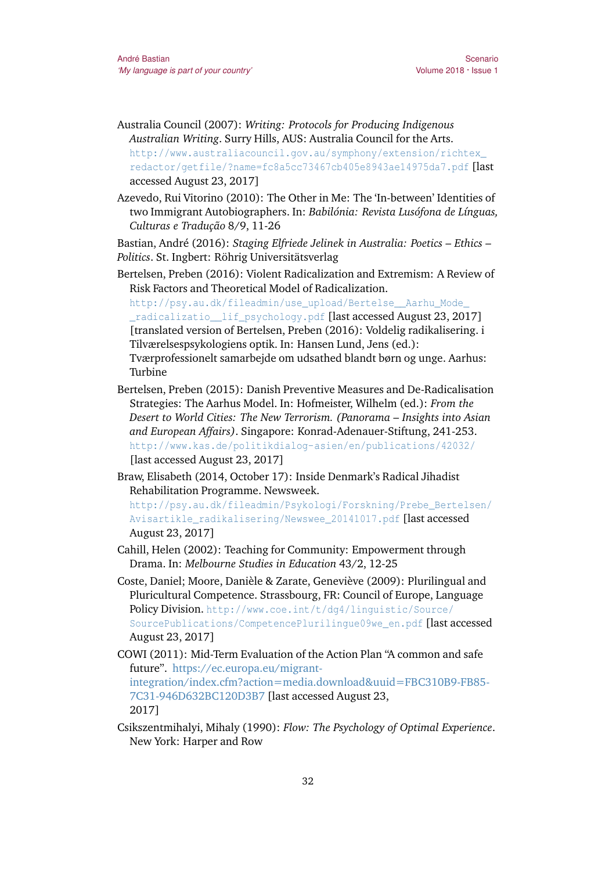- Australia Council (2007): *Writing: Protocols for Producing Indigenous Australian Writing*. Surry Hills, AUS: Australia Council for the Arts. [http://www.australiacouncil.gov.au/symphony/extension/richtex\\_](http://www.australiacouncil.gov.au/symphony/extension/richtex_redactor/getfile/?name=fc8a5cc73467cb405e8943ae14975da7.pdf) [redactor/getfile/?name=fc8a5cc73467cb405e8943ae14975da7.pdf](http://www.australiacouncil.gov.au/symphony/extension/richtex_redactor/getfile/?name=fc8a5cc73467cb405e8943ae14975da7.pdf) [last accessed August 23, 2017]
- Azevedo, Rui Vitorino (2010): The Other in Me: The 'In-between' Identities of two Immigrant Autobiographers. In: *Babilónia: Revista Lusófona de Línguas, Culturas e Tradução* 8/9, 11-26

Bastian, André (2016): *Staging Elfriede Jelinek in Australia: Poetics – Ethics – Politics*. St. Ingbert: Röhrig Universitätsverlag

Bertelsen, Preben (2016): Violent Radicalization and Extremism: A Review of Risk Factors and Theoretical Model of Radicalization.

[http://psy.au.dk/fileadmin/use\\_upload/Bertelse\\_\\_Aarhu\\_Mode\\_](http://psy.au.dk/fileadmin/use_upload/Bertelse__Aarhu_Mode__radicalizatio__lif_psychology.pdf) [\\_radicalizatio\\_\\_lif\\_psychology.pdf](http://psy.au.dk/fileadmin/use_upload/Bertelse__Aarhu_Mode__radicalizatio__lif_psychology.pdf) [last accessed August 23, 2017] [translated version of Bertelsen, Preben (2016): Voldelig radikalisering. i Tilværelsespsykologiens optik. In: Hansen Lund, Jens (ed.): Tværprofessionelt samarbejde om udsathed blandt børn og unge. Aarhus: Turbine

- Bertelsen, Preben (2015): Danish Preventive Measures and De-Radicalisation Strategies: The Aarhus Model. In: Hofmeister, Wilhelm (ed.): *From the Desert to World Cities: The New Terrorism. (Panorama – Insights into Asian and European Affairs)*. Singapore: Konrad-Adenauer-Stiftung, 241-253. <http://www.kas.de/politikdialog-asien/en/publications/42032/> [last accessed August 23, 2017]
- Braw, Elisabeth (2014, October 17): Inside Denmark's Radical Jihadist Rehabilitation Programme. Newsweek.

[http://psy.au.dk/fileadmin/Psykologi/Forskning/Prebe\\_Bertelsen/](http://psy.au.dk/fileadmin/Psykologi/Forskning/Prebe_Bertelsen/Avisartikle_radikalisering/Newswee_20141017.pdf) [Avisartikle\\_radikalisering/Newswee\\_20141017.pdf](http://psy.au.dk/fileadmin/Psykologi/Forskning/Prebe_Bertelsen/Avisartikle_radikalisering/Newswee_20141017.pdf) [last accessed August 23, 2017]

- Cahill, Helen (2002): Teaching for Community: Empowerment through Drama. In: *Melbourne Studies in Education* 43/2, 12-25
- Coste, Daniel; Moore, Danièle & Zarate, Geneviève (2009): Plurilingual and Pluricultural Competence. Strassbourg, FR: Council of Europe, Language Policy Division. [http://www.coe.int/t/dg4/linguistic/Source/](http://www.coe.int/t/dg4/linguistic/Source/SourcePublications/CompetencePlurilingue09we_en.pdf) [SourcePublications/CompetencePlurilingue09we\\_en.pdf](http://www.coe.int/t/dg4/linguistic/Source/SourcePublications/CompetencePlurilingue09we_en.pdf) [last accessed August 23, 2017]
- COWI (2011): Mid-Term Evaluation of the Action Plan "A common and safe future". [https://ec.europa.eu/migrant](https://ec.europa.eu/migrant-integration/index.cfm?action=media.download&uuid=FBC310B9-FB85-7C31-946D632BC120D3B7)[integration/index.cfm?action=media.download&uuid=FBC310B9-FB85-](https://ec.europa.eu/migrant-integration/index.cfm?action=media.download&uuid=FBC310B9-FB85-7C31-946D632BC120D3B7) [7C31-946D632BC120D3B7](https://ec.europa.eu/migrant-integration/index.cfm?action=media.download&uuid=FBC310B9-FB85-7C31-946D632BC120D3B7) [last accessed August 23, 2017]
- Csikszentmihalyi, Mihaly (1990): *Flow: The Psychology of Optimal Experience*. New York: Harper and Row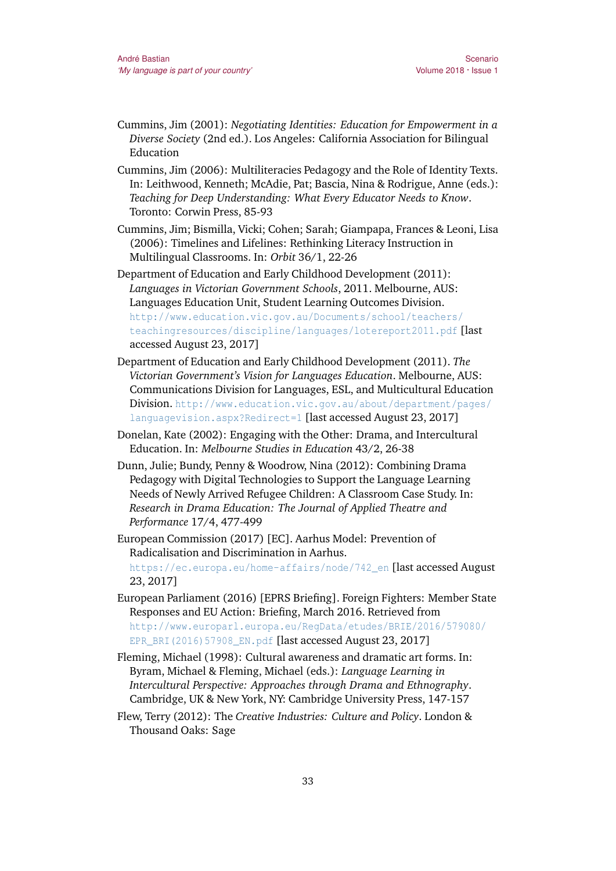- Cummins, Jim (2001): *Negotiating Identities: Education for Empowerment in a Diverse Society* (2nd ed.). Los Angeles: California Association for Bilingual Education
- Cummins, Jim (2006): Multiliteracies Pedagogy and the Role of Identity Texts. In: Leithwood, Kenneth; McAdie, Pat; Bascia, Nina & Rodrigue, Anne (eds.): *Teaching for Deep Understanding: What Every Educator Needs to Know*. Toronto: Corwin Press, 85-93
- Cummins, Jim; Bismilla, Vicki; Cohen; Sarah; Giampapa, Frances & Leoni, Lisa (2006): Timelines and Lifelines: Rethinking Literacy Instruction in Multilingual Classrooms. In: *Orbit* 36/1, 22-26
- Department of Education and Early Childhood Development (2011): *Languages in Victorian Government Schools*, 2011. Melbourne, AUS: Languages Education Unit, Student Learning Outcomes Division. [http://www.education.vic.gov.au/Documents/school/teachers/](http://www.education.vic.gov.au/Documents/school/teachers/teachingresources/discipline/languages/lotereport2011.pdf) [teachingresources/discipline/languages/lotereport2011.pdf](http://www.education.vic.gov.au/Documents/school/teachers/teachingresources/discipline/languages/lotereport2011.pdf) [last accessed August 23, 2017]
- Department of Education and Early Childhood Development (2011). *The Victorian Government's Vision for Languages Education*. Melbourne, AUS: Communications Division for Languages, ESL, and Multicultural Education Division.[http://www.education.vic.gov.au/about/department/pages/](http://www.education.vic.gov.au/about/department/pages/languagevision.aspx?Redirect=1) [languagevision.aspx?Redirect=1](http://www.education.vic.gov.au/about/department/pages/languagevision.aspx?Redirect=1) [last accessed August 23, 2017]
- Donelan, Kate (2002): Engaging with the Other: Drama, and Intercultural Education. In: *Melbourne Studies in Education* 43/2, 26-38
- Dunn, Julie; Bundy, Penny & Woodrow, Nina (2012): Combining Drama Pedagogy with Digital Technologies to Support the Language Learning Needs of Newly Arrived Refugee Children: A Classroom Case Study. In: *Research in Drama Education: The Journal of Applied Theatre and Performance* 17/4, 477-499
- European Commission (2017) [EC]. Aarhus Model: Prevention of Radicalisation and Discrimination in Aarhus. [https://ec.europa.eu/home-affairs/node/742\\_en](https://ec.europa.eu/home-affairs/node/742_en) [last accessed August 23, 2017]
- European Parliament (2016) [EPRS Briefing]. Foreign Fighters: Member State Responses and EU Action: Briefing, March 2016. Retrieved from [http://www.europarl.europa.eu/RegData/etudes/BRIE/2016/579080/](http://www.europarl.europa.eu/RegData/etudes/BRIE/2016/579080/EPR_BRI(2016)57908_EN.pdf) [EPR\\_BRI\(2016\)57908\\_EN.pdf](http://www.europarl.europa.eu/RegData/etudes/BRIE/2016/579080/EPR_BRI(2016)57908_EN.pdf) [last accessed August 23, 2017]
- Fleming, Michael (1998): Cultural awareness and dramatic art forms. In: Byram, Michael & Fleming, Michael (eds.): *Language Learning in Intercultural Perspective: Approaches through Drama and Ethnography*. Cambridge, UK & New York, NY: Cambridge University Press, 147-157
- Flew, Terry (2012): The *Creative Industries: Culture and Policy*. London & Thousand Oaks: Sage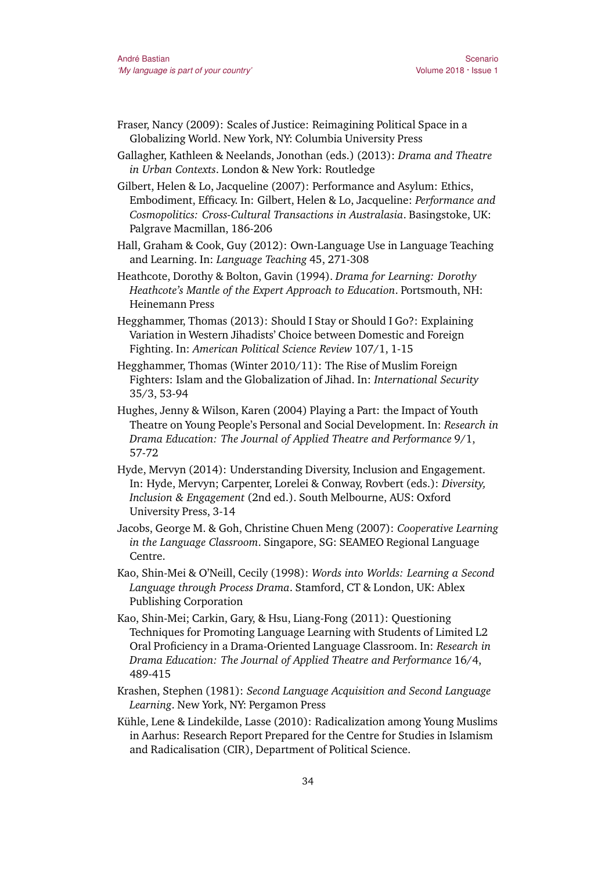- Fraser, Nancy (2009): Scales of Justice: Reimagining Political Space in a Globalizing World. New York, NY: Columbia University Press
- Gallagher, Kathleen & Neelands, Jonothan (eds.) (2013): *Drama and Theatre in Urban Contexts*. London & New York: Routledge

Gilbert, Helen & Lo, Jacqueline (2007): Performance and Asylum: Ethics, Embodiment, Efficacy. In: Gilbert, Helen & Lo, Jacqueline: *Performance and Cosmopolitics: Cross-Cultural Transactions in Australasia*. Basingstoke, UK: Palgrave Macmillan, 186-206

Hall, Graham & Cook, Guy (2012): Own-Language Use in Language Teaching and Learning. In: *Language Teaching* 45, 271-308

Heathcote, Dorothy & Bolton, Gavin (1994). *Drama for Learning: Dorothy Heathcote's Mantle of the Expert Approach to Education*. Portsmouth, NH: Heinemann Press

Hegghammer, Thomas (2013): Should I Stay or Should I Go?: Explaining Variation in Western Jihadists' Choice between Domestic and Foreign Fighting. In: *American Political Science Review* 107/1, 1-15

Hegghammer, Thomas (Winter 2010/11): The Rise of Muslim Foreign Fighters: Islam and the Globalization of Jihad. In: *International Security* 35/3, 53-94

Hughes, Jenny & Wilson, Karen (2004) Playing a Part: the Impact of Youth Theatre on Young People's Personal and Social Development. In: *Research in Drama Education: The Journal of Applied Theatre and Performance* 9/1, 57-72

Hyde, Mervyn (2014): Understanding Diversity, Inclusion and Engagement. In: Hyde, Mervyn; Carpenter, Lorelei & Conway, Rovbert (eds.): *Diversity, Inclusion & Engagement* (2nd ed.). South Melbourne, AUS: Oxford University Press, 3-14

Jacobs, George M. & Goh, Christine Chuen Meng (2007): *Cooperative Learning in the Language Classroom*. Singapore, SG: SEAMEO Regional Language Centre.

Kao, Shin-Mei & O'Neill, Cecily (1998): *Words into Worlds: Learning a Second Language through Process Drama*. Stamford, CT & London, UK: Ablex Publishing Corporation

- Kao, Shin-Mei; Carkin, Gary, & Hsu, Liang-Fong (2011): Questioning Techniques for Promoting Language Learning with Students of Limited L2 Oral Proficiency in a Drama-Oriented Language Classroom. In: *Research in Drama Education: The Journal of Applied Theatre and Performance* 16/4, 489-415
- Krashen, Stephen (1981): *Second Language Acquisition and Second Language Learning*. New York, NY: Pergamon Press
- Kühle, Lene & Lindekilde, Lasse (2010): Radicalization among Young Muslims in Aarhus: Research Report Prepared for the Centre for Studies in Islamism and Radicalisation (CIR), Department of Political Science.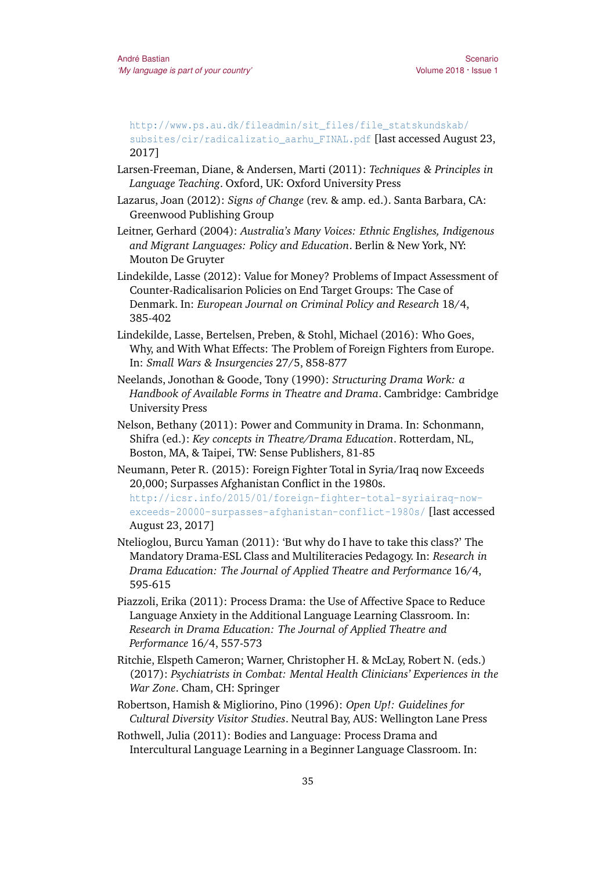[http://www.ps.au.dk/fileadmin/sit\\_files/file\\_statskundskab/](http://www.ps.au.dk/fileadmin/sit_files/file_statskundskab/subsites/cir/radicalizatio_aarhu_FINAL.pdf) [subsites/cir/radicalizatio\\_aarhu\\_FINAL.pdf](http://www.ps.au.dk/fileadmin/sit_files/file_statskundskab/subsites/cir/radicalizatio_aarhu_FINAL.pdf) [last accessed August 23, 2017]

- Larsen-Freeman, Diane, & Andersen, Marti (2011): *Techniques & Principles in Language Teaching*. Oxford, UK: Oxford University Press
- Lazarus, Joan (2012): *Signs of Change* (rev. & amp. ed.). Santa Barbara, CA: Greenwood Publishing Group
- Leitner, Gerhard (2004): *Australia's Many Voices: Ethnic Englishes, Indigenous and Migrant Languages: Policy and Education*. Berlin & New York, NY: Mouton De Gruyter
- Lindekilde, Lasse (2012): Value for Money? Problems of Impact Assessment of Counter-Radicalisarion Policies on End Target Groups: The Case of Denmark. In: *European Journal on Criminal Policy and Research* 18/4, 385-402
- Lindekilde, Lasse, Bertelsen, Preben, & Stohl, Michael (2016): Who Goes, Why, and With What Effects: The Problem of Foreign Fighters from Europe. In: *Small Wars & Insurgencies* 27/5, 858-877
- Neelands, Jonothan & Goode, Tony (1990): *Structuring Drama Work: a Handbook of Available Forms in Theatre and Drama*. Cambridge: Cambridge University Press
- Nelson, Bethany (2011): Power and Community in Drama. In: Schonmann, Shifra (ed.): *Key concepts in Theatre/Drama Education*. Rotterdam, NL, Boston, MA, & Taipei, TW: Sense Publishers, 81-85
- Neumann, Peter R. (2015): Foreign Fighter Total in Syria/Iraq now Exceeds 20,000; Surpasses Afghanistan Conflict in the 1980s.

[http://icsr.info/2015/01/foreign-fighter-total-syriairaq-now](http://icsr.info/2015/01/foreign-fighter-total-syriairaq-now-exceeds-20000-surpasses-afghanistan-conflict-1980s/)[exceeds-20000-surpasses-afghanistan-conflict-1980s/](http://icsr.info/2015/01/foreign-fighter-total-syriairaq-now-exceeds-20000-surpasses-afghanistan-conflict-1980s/) [last accessed August 23, 2017]

- Ntelioglou, Burcu Yaman (2011): 'But why do I have to take this class?' The Mandatory Drama-ESL Class and Multiliteracies Pedagogy. In: *Research in Drama Education: The Journal of Applied Theatre and Performance* 16/4, 595-615
- Piazzoli, Erika (2011): Process Drama: the Use of Affective Space to Reduce Language Anxiety in the Additional Language Learning Classroom. In: *Research in Drama Education: The Journal of Applied Theatre and Performance* 16/4, 557-573
- Ritchie, Elspeth Cameron; Warner, Christopher H. & McLay, Robert N. (eds.) (2017): *Psychiatrists in Combat: Mental Health Clinicians' Experiences in the War Zone*. Cham, CH: Springer
- Robertson, Hamish & Migliorino, Pino (1996): *Open Up!: Guidelines for Cultural Diversity Visitor Studies*. Neutral Bay, AUS: Wellington Lane Press
- Rothwell, Julia (2011): Bodies and Language: Process Drama and Intercultural Language Learning in a Beginner Language Classroom. In: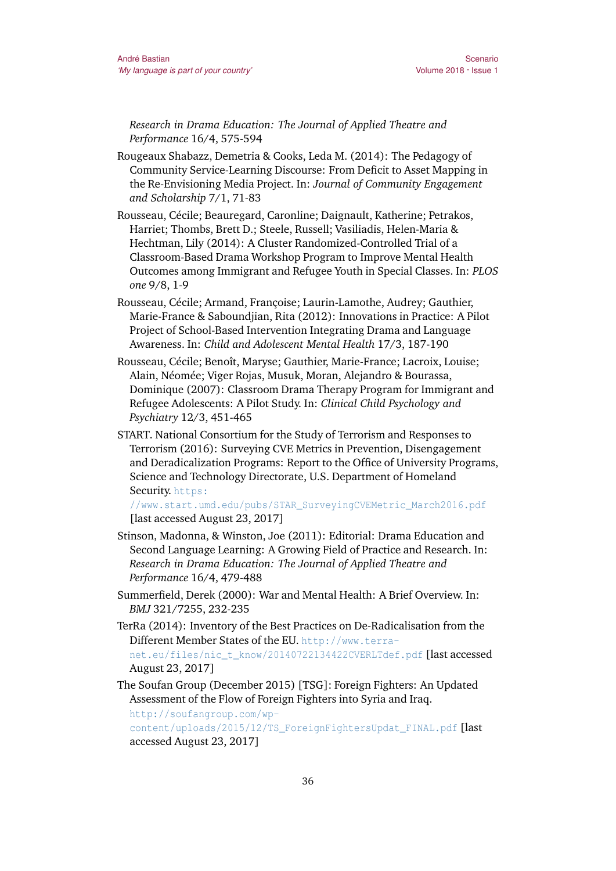Scenario Volume 2018 · Issue 1

*Research in Drama Education: The Journal of Applied Theatre and Performance* 16/4, 575-594

Rougeaux Shabazz, Demetria & Cooks, Leda M. (2014): The Pedagogy of Community Service-Learning Discourse: From Deficit to Asset Mapping in the Re-Envisioning Media Project. In: *Journal of Community Engagement and Scholarship* 7/1, 71-83

Rousseau, Cécile; Beauregard, Caronline; Daignault, Katherine; Petrakos, Harriet; Thombs, Brett D.; Steele, Russell; Vasiliadis, Helen-Maria & Hechtman, Lily (2014): A Cluster Randomized-Controlled Trial of a Classroom-Based Drama Workshop Program to Improve Mental Health Outcomes among Immigrant and Refugee Youth in Special Classes. In: *PLOS one* 9/8, 1-9

- Rousseau, Cécile; Armand, Françoise; Laurin-Lamothe, Audrey; Gauthier, Marie-France & Saboundjian, Rita (2012): Innovations in Practice: A Pilot Project of School-Based Intervention Integrating Drama and Language Awareness. In: *Child and Adolescent Mental Health* 17/3, 187-190
- Rousseau, Cécile; Benoît, Maryse; Gauthier, Marie-France; Lacroix, Louise; Alain, Néomée; Viger Rojas, Musuk, Moran, Alejandro & Bourassa, Dominique (2007): Classroom Drama Therapy Program for Immigrant and Refugee Adolescents: A Pilot Study. In: *Clinical Child Psychology and Psychiatry* 12/3, 451-465
- START. National Consortium for the Study of Terrorism and Responses to Terrorism (2016): Surveying CVE Metrics in Prevention, Disengagement and Deradicalization Programs: Report to the Office of University Programs, Science and Technology Directorate, U.S. Department of Homeland Security. [https:](https://www.start.umd.edu/pubs/STAR_SurveyingCVEMetric_March2016.pdf)

[//www.start.umd.edu/pubs/STAR\\_SurveyingCVEMetric\\_March2016.pdf](https://www.start.umd.edu/pubs/STAR_SurveyingCVEMetric_March2016.pdf) [last accessed August 23, 2017]

- Stinson, Madonna, & Winston, Joe (2011): Editorial: Drama Education and Second Language Learning: A Growing Field of Practice and Research. In: *Research in Drama Education: The Journal of Applied Theatre and Performance* 16/4, 479-488
- Summerfield, Derek (2000): War and Mental Health: A Brief Overview. In: *BMJ* 321/7255, 232-235
- TerRa (2014): Inventory of the Best Practices on De-Radicalisation from the Different Member States of the EU. [http://www.terra](http://www.terra-net.eu/files/nic_t_know/20140722134422CVERLTdef.pdf)[net.eu/files/nic\\_t\\_know/20140722134422CVERLTdef.pdf](http://www.terra-net.eu/files/nic_t_know/20140722134422CVERLTdef.pdf) [last accessed August 23, 2017]
- The Soufan Group (December 2015) [TSG]: Foreign Fighters: An Updated Assessment of the Flow of Foreign Fighters into Syria and Iraq.

[http://soufangroup.com/wp-](http://soufangroup.com/wp-content/uploads/2015/12/TS_ForeignFightersUpdat_FINAL.pdf)

[content/uploads/2015/12/TS\\_ForeignFightersUpdat\\_FINAL.pdf](http://soufangroup.com/wp-content/uploads/2015/12/TS_ForeignFightersUpdat_FINAL.pdf) [last accessed August 23, 2017]